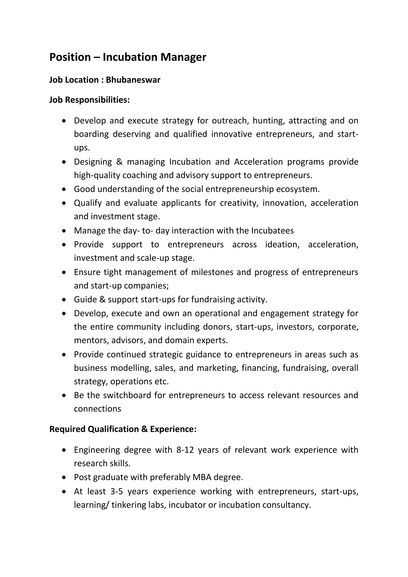## **Position – Incubation Manager**

## **Job Location : Bhubaneswar**

## **Job Responsibilities:**

- Develop and execute strategy for outreach, hunting, attracting and on boarding deserving and qualified innovative entrepreneurs, and startups.
- Designing & managing Incubation and Acceleration programs provide high-quality coaching and advisory support to entrepreneurs.
- Good understanding of the social entrepreneurship ecosystem.
- Qualify and evaluate applicants for creativity, innovation, acceleration and investment stage.
- Manage the day- to- day interaction with the Incubatees
- Provide support to entrepreneurs across ideation, acceleration, investment and scale-up stage.
- Ensure tight management of milestones and progress of entrepreneurs and start-up companies;
- Guide & support start-ups for fundraising activity.
- Develop, execute and own an operational and engagement strategy for the entire community including donors, start-ups, investors, corporate, mentors, advisors, and domain experts.
- Provide continued strategic guidance to entrepreneurs in areas such as business modelling, sales, and marketing, financing, fundraising, overall strategy, operations etc.
- Be the switchboard for entrepreneurs to access relevant resources and connections

## **Required Qualification & Experience:**

- Engineering degree with 8-12 years of relevant work experience with research skills.
- Post graduate with preferably MBA degree.
- At least 3-5 years experience working with entrepreneurs, start-ups, learning/ tinkering labs, incubator or incubation consultancy.